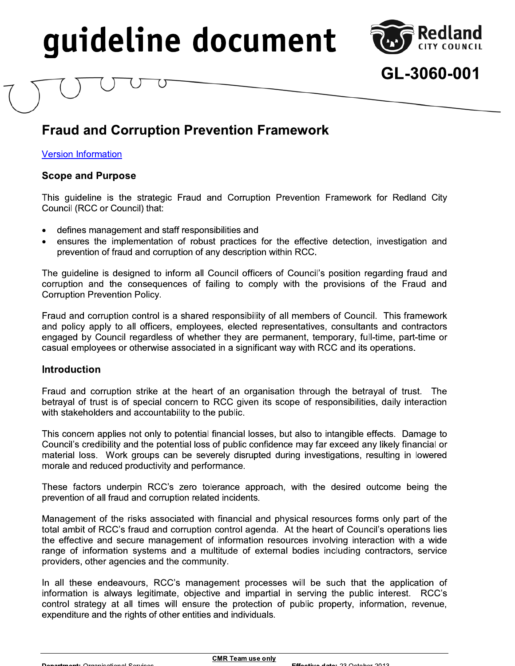

## GL-3060-001

## **Fraud and Corruption Prevention Framework**

**Version Information** 

#### **Scope and Purpose**

This guideline is the strategic Fraud and Corruption Prevention Framework for Redland City Council (RCC or Council) that:

- defines management and staff responsibilities and
- ensures the implementation of robust practices for the effective detection, investigation and prevention of fraud and corruption of any description within RCC.

The guideline is designed to inform all Council officers of Council's position regarding fraud and corruption and the consequences of failing to comply with the provisions of the Fraud and **Corruption Prevention Policy.** 

Fraud and corruption control is a shared responsibility of all members of Council. This framework and policy apply to all officers, employees, elected representatives, consultants and contractors engaged by Council regardless of whether they are permanent, temporary, full-time, part-time or casual employees or otherwise associated in a significant way with RCC and its operations.

#### **Introduction**

Fraud and corruption strike at the heart of an organisation through the betrayal of trust. The betrayal of trust is of special concern to RCC given its scope of responsibilities, daily interaction with stakeholders and accountability to the public.

This concern applies not only to potential financial losses, but also to intangible effects. Damage to Council's credibility and the potential loss of public confidence may far exceed any likely financial or material loss. Work groups can be severely disrupted during investigations, resulting in lowered morale and reduced productivity and performance.

These factors underpin RCC's zero tolerance approach, with the desired outcome being the prevention of all fraud and corruption related incidents.

Management of the risks associated with financial and physical resources forms only part of the total ambit of RCC's fraud and corruption control agenda. At the heart of Council's operations lies the effective and secure management of information resources involving interaction with a wide range of information systems and a multitude of external bodies including contractors, service providers, other agencies and the community.

In all these endeavours, RCC's management processes will be such that the application of information is always legitimate, objective and impartial in serving the public interest. RCC's control strategy at all times will ensure the protection of public property, information, revenue, expenditure and the rights of other entities and individuals.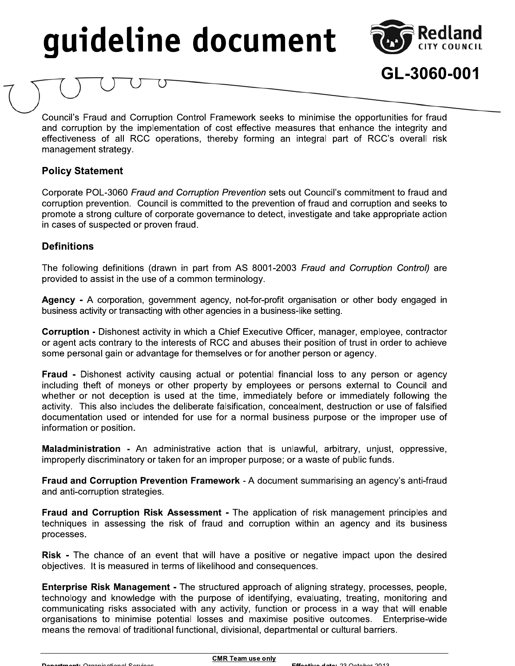

GL-3060-001

Council's Fraud and Corruption Control Framework seeks to minimise the opportunities for fraud and corruption by the implementation of cost effective measures that enhance the integrity and effectiveness of all RCC operations, thereby forming an integral part of RCC's overall risk management strategy.

### **Policy Statement**

Corporate POL-3060 Fraud and Corruption Prevention sets out Council's commitment to fraud and corruption prevention. Council is committed to the prevention of fraud and corruption and seeks to promote a strong culture of corporate governance to detect, investigate and take appropriate action in cases of suspected or proven fraud.

## **Definitions**

The following definitions (drawn in part from AS 8001-2003 Fraud and Corruption Control) are provided to assist in the use of a common terminology.

Agency - A corporation, government agency, not-for-profit organisation or other body engaged in business activity or transacting with other agencies in a business-like setting.

Corruption - Dishonest activity in which a Chief Executive Officer, manager, employee, contractor or agent acts contrary to the interests of RCC and abuses their position of trust in order to achieve some personal gain or advantage for themselves or for another person or agency.

Fraud - Dishonest activity causing actual or potential financial loss to any person or agency including theft of moneys or other property by employees or persons external to Council and whether or not deception is used at the time, immediately before or immediately following the activity. This also includes the deliberate falsification, concealment, destruction or use of falsified documentation used or intended for use for a normal business purpose or the improper use of information or position.

**Maladministration -** An administrative action that is unlawful, arbitrary, unjust, oppressive, improperly discriminatory or taken for an improper purpose; or a waste of public funds.

Fraud and Corruption Prevention Framework - A document summarising an agency's anti-fraud and anti-corruption strategies.

Fraud and Corruption Risk Assessment - The application of risk management principles and techniques in assessing the risk of fraud and corruption within an agency and its business processes.

Risk - The chance of an event that will have a positive or negative impact upon the desired objectives. It is measured in terms of likelihood and consequences.

Enterprise Risk Management - The structured approach of aligning strategy, processes, people, technology and knowledge with the purpose of identifying, evaluating, treating, monitoring and communicating risks associated with any activity, function or process in a way that will enable organisations to minimise potential losses and maximise positive outcomes. Enterprise-wide means the removal of traditional functional, divisional, departmental or cultural barriers.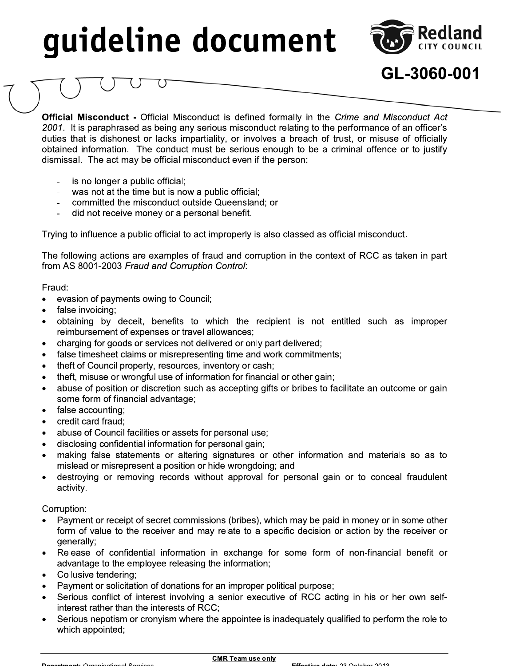

GL-3060-001

**Official Misconduct -** Official Misconduct is defined formally in the Crime and Misconduct Act 2001. It is paraphrased as being any serious misconduct relating to the performance of an officer's duties that is dishonest or lacks impartiality, or involves a breach of trust, or misuse of officially obtained information. The conduct must be serious enough to be a criminal offence or to justify dismissal. The act may be official misconduct even if the person:

- is no longer a public official;
- was not at the time but is now a public official;  $\bar{\phantom{a}}$
- committed the misconduct outside Queensland; or
- did not receive money or a personal benefit.

Trying to influence a public official to act improperly is also classed as official misconduct.

The following actions are examples of fraud and corruption in the context of RCC as taken in part from AS 8001-2003 Fraud and Corruption Control:

#### Fraud:

- evasion of payments owing to Council;  $\bullet$
- false invoicing;
- obtaining by deceit, benefits to which the recipient is not entitled such as improper reimbursement of expenses or travel allowances;
- charging for goods or services not delivered or only part delivered;  $\bullet$
- false timesheet claims or misrepresenting time and work commitments;  $\bullet$
- theft of Council property, resources, inventory or cash;  $\bullet$
- theft, misuse or wrongful use of information for financial or other gain;
- abuse of position or discretion such as accepting gifts or bribes to facilitate an outcome or gain some form of financial advantage;
- false accounting;  $\bullet$
- credit card fraud;
- abuse of Council facilities or assets for personal use;
- disclosing confidential information for personal gain;
- making false statements or altering signatures or other information and materials so as to mislead or misrepresent a position or hide wrongdoing; and
- destroying or removing records without approval for personal gain or to conceal fraudulent activity.

#### Corruption:

- Payment or receipt of secret commissions (bribes), which may be paid in money or in some other form of value to the receiver and may relate to a specific decision or action by the receiver or generally;
- Release of confidential information in exchange for some form of non-financial benefit or advantage to the employee releasing the information;
- Collusive tendering:
- Payment or solicitation of donations for an improper political purpose;
- Serious conflict of interest involving a senior executive of RCC acting in his or her own selfinterest rather than the interests of RCC:
- Serious nepotism or cronyism where the appointee is inadequately qualified to perform the role to which appointed;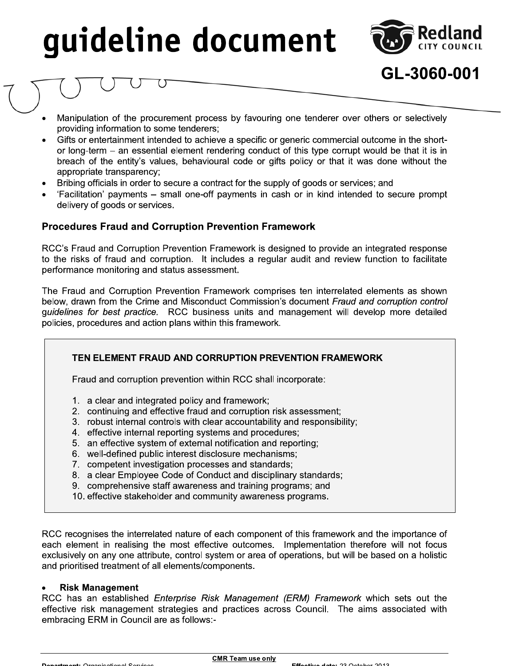

GL-3060-001

- Manipulation of the procurement process by favouring one tenderer over others or selectively providing information to some tenderers;
- Gifts or entertainment intended to achieve a specific or generic commercial outcome in the shortor long-term - an essential element rendering conduct of this type corrupt would be that it is in breach of the entity's values, behavioural code or gifts policy or that it was done without the appropriate transparency;
- Bribing officials in order to secure a contract for the supply of goods or services; and
- 'Facilitation' payments small one-off payments in cash or in kind intended to secure prompt delivery of goods or services.

#### **Procedures Fraud and Corruption Prevention Framework**

RCC's Fraud and Corruption Prevention Framework is designed to provide an integrated response to the risks of fraud and corruption. It includes a regular audit and review function to facilitate performance monitoring and status assessment.

The Fraud and Corruption Prevention Framework comprises ten interrelated elements as shown below, drawn from the Crime and Misconduct Commission's document Fraud and corruption control guidelines for best practice. RCC business units and management will develop more detailed policies, procedures and action plans within this framework.

### TEN ELEMENT FRAUD AND CORRUPTION PREVENTION FRAMEWORK

Fraud and corruption prevention within RCC shall incorporate:

- 1. a clear and integrated policy and framework;
- 2. continuing and effective fraud and corruption risk assessment;
- 3. robust internal controls with clear accountability and responsibility;
- 4. effective internal reporting systems and procedures;
- 5. an effective system of external notification and reporting;
- 6. well-defined public interest disclosure mechanisms;
- 7. competent investigation processes and standards;
- 8. a clear Employee Code of Conduct and disciplinary standards;
- 9. comprehensive staff awareness and training programs; and
- 10. effective stakeholder and community awareness programs.

RCC recognises the interrelated nature of each component of this framework and the importance of each element in realising the most effective outcomes. Implementation therefore will not focus exclusively on any one attribute, control system or area of operations, but will be based on a holistic and prioritised treatment of all elements/components.

#### **Risk Management**

RCC has an established Enterprise Risk Management (ERM) Framework which sets out the effective risk management strategies and practices across Council. The aims associated with embracing ERM in Council are as follows:-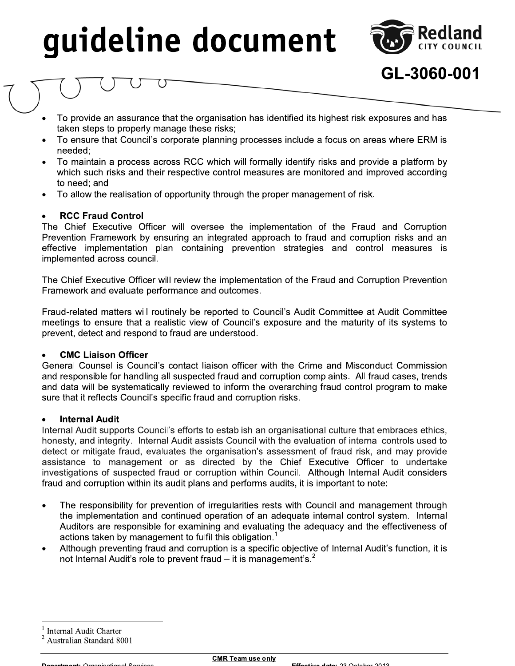

GL-3060-001

- To provide an assurance that the organisation has identified its highest risk exposures and has taken steps to properly manage these risks;
- To ensure that Council's corporate planning processes include a focus on areas where ERM is needed:
- To maintain a process across RCC which will formally identify risks and provide a platform by which such risks and their respective control measures are monitored and improved according to need: and
- To allow the realisation of opportunity through the proper management of risk.

#### **RCC Fraud Control**

The Chief Executive Officer will oversee the implementation of the Fraud and Corruption Prevention Framework by ensuring an integrated approach to fraud and corruption risks and an effective implementation plan containing prevention strategies and control measures is implemented across council.

The Chief Executive Officer will review the implementation of the Fraud and Corruption Prevention Framework and evaluate performance and outcomes.

Fraud-related matters will routinely be reported to Council's Audit Committee at Audit Committee meetings to ensure that a realistic view of Council's exposure and the maturity of its systems to prevent, detect and respond to fraud are understood.

#### **CMC Liaison Officer**

General Counsel is Council's contact liaison officer with the Crime and Misconduct Commission and responsible for handling all suspected fraud and corruption complaints. All fraud cases, trends and data will be systematically reviewed to inform the overarching fraud control program to make sure that it reflects Council's specific fraud and corruption risks.

#### **Internal Audit**

Internal Audit supports Council's efforts to establish an organisational culture that embraces ethics, honesty, and integrity. Internal Audit assists Council with the evaluation of internal controls used to detect or mitigate fraud, evaluates the organisation's assessment of fraud risk, and may provide assistance to management or as directed by the Chief Executive Officer to undertake investigations of suspected fraud or corruption within Council. Although Internal Audit considers fraud and corruption within its audit plans and performs audits, it is important to note:

- The responsibility for prevention of irregularities rests with Council and management through  $\bullet$ the implementation and continued operation of an adequate internal control system. Internal Auditors are responsible for examining and evaluating the adequacy and the effectiveness of actions taken by management to fulfil this obligation.<sup>1</sup>
- Although preventing fraud and corruption is a specific objective of Internal Audit's function, it is  $\bullet$ not Internal Audit's role to prevent fraud  $-$  it is management's.<sup>2</sup>

**Internal Audit Charter** 

Australian Standard 8001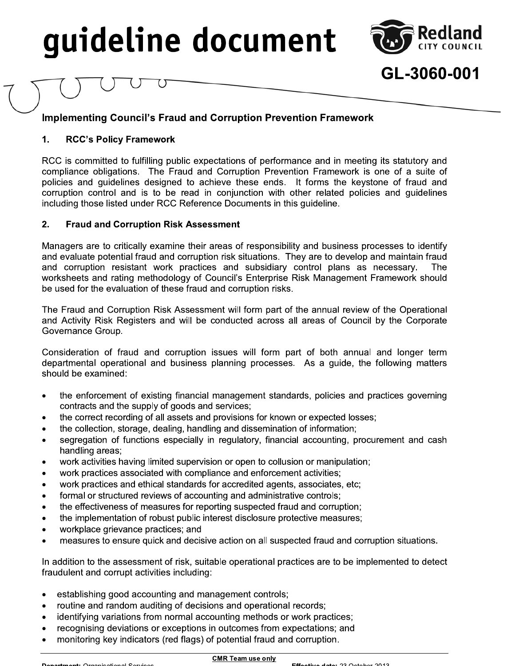

GL-3060-001

## **Implementing Council's Fraud and Corruption Prevention Framework**

#### 1. **RCC's Policy Framework**

RCC is committed to fulfilling public expectations of performance and in meeting its statutory and compliance obligations. The Fraud and Corruption Prevention Framework is one of a suite of policies and guidelines designed to achieve these ends. It forms the keystone of fraud and corruption control and is to be read in conjunction with other related policies and guidelines including those listed under RCC Reference Documents in this guideline.

#### $2.$ **Fraud and Corruption Risk Assessment**

Managers are to critically examine their areas of responsibility and business processes to identify and evaluate potential fraud and corruption risk situations. They are to develop and maintain fraud and corruption resistant work practices and subsidiary control plans as necessary. The worksheets and rating methodology of Council's Enterprise Risk Management Framework should be used for the evaluation of these fraud and corruption risks.

The Fraud and Corruption Risk Assessment will form part of the annual review of the Operational and Activity Risk Registers and will be conducted across all areas of Council by the Corporate Governance Group.

Consideration of fraud and corruption issues will form part of both annual and longer term departmental operational and business planning processes. As a guide, the following matters should be examined:

- the enforcement of existing financial management standards, policies and practices governing  $\bullet$ contracts and the supply of goods and services;
- the correct recording of all assets and provisions for known or expected losses;  $\bullet$
- $\bullet$ the collection, storage, dealing, handling and dissemination of information;
- segregation of functions especially in regulatory, financial accounting, procurement and cash  $\bullet$ handling areas;
- work activities having limited supervision or open to collusion or manipulation;  $\bullet$
- work practices associated with compliance and enforcement activities;  $\bullet$
- work practices and ethical standards for accredited agents, associates, etc;  $\bullet$
- formal or structured reviews of accounting and administrative controls;  $\bullet$
- the effectiveness of measures for reporting suspected fraud and corruption;  $\bullet$
- the implementation of robust public interest disclosure protective measures;  $\bullet$
- workplace grievance practices; and
- measures to ensure quick and decisive action on all suspected fraud and corruption situations.

In addition to the assessment of risk, suitable operational practices are to be implemented to detect fraudulent and corrupt activities including:

- establishing good accounting and management controls;
- routine and random auditing of decisions and operational records;
- identifying variations from normal accounting methods or work practices;
- recognising deviations or exceptions in outcomes from expectations; and
- monitoring key indicators (red flags) of potential fraud and corruption.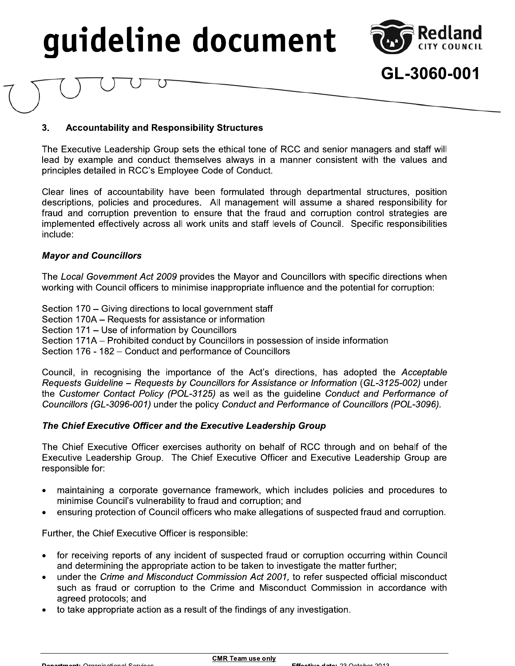

## GL-3060-001

#### $3.$ **Accountability and Responsibility Structures**

The Executive Leadership Group sets the ethical tone of RCC and senior managers and staff will lead by example and conduct themselves always in a manner consistent with the values and principles detailed in RCC's Employee Code of Conduct.

Clear lines of accountability have been formulated through departmental structures, position descriptions, policies and procedures. All management will assume a shared responsibility for fraud and corruption prevention to ensure that the fraud and corruption control strategies are implemented effectively across all work units and staff levels of Council. Specific responsibilities include:

#### **Mayor and Councillors**

The Local Government Act 2009 provides the Mayor and Councillors with specific directions when working with Council officers to minimise inappropriate influence and the potential for corruption:

Section 170 – Giving directions to local government staff Section 170A - Requests for assistance or information Section 171 - Use of information by Councillors Section 171A – Prohibited conduct by Councillors in possession of inside information Section 176 - 182 - Conduct and performance of Councillors

Council, in recognising the importance of the Act's directions, has adopted the Acceptable Requests Guideline - Requests by Councillors for Assistance or Information (GL-3125-002) under the Customer Contact Policy (POL-3125) as well as the guideline Conduct and Performance of Councillors (GL-3096-001) under the policy Conduct and Performance of Councillors (POL-3096).

#### The Chief Executive Officer and the Executive Leadership Group

The Chief Executive Officer exercises authority on behalf of RCC through and on behalf of the Executive Leadership Group. The Chief Executive Officer and Executive Leadership Group are responsible for:

- maintaining a corporate governance framework, which includes policies and procedures to minimise Council's vulnerability to fraud and corruption; and
- ensuring protection of Council officers who make allegations of suspected fraud and corruption.

Further, the Chief Executive Officer is responsible:

- for receiving reports of any incident of suspected fraud or corruption occurring within Council and determining the appropriate action to be taken to investigate the matter further;
- under the Crime and Misconduct Commission Act 2001, to refer suspected official misconduct such as fraud or corruption to the Crime and Misconduct Commission in accordance with agreed protocols; and
- to take appropriate action as a result of the findings of any investigation.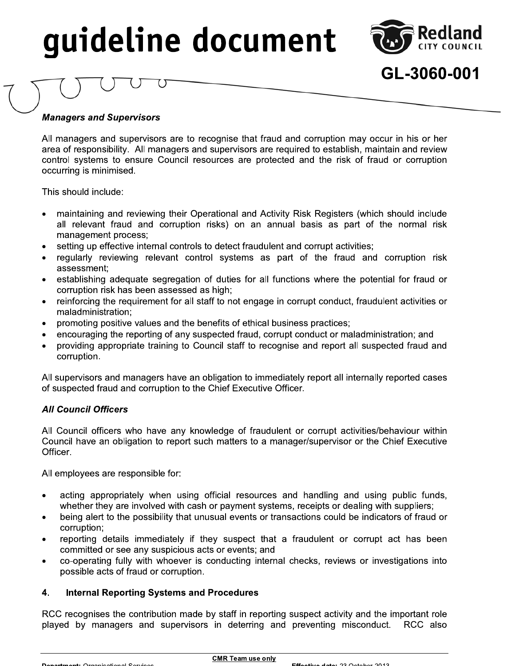

## GL-3060-001

## **Managers and Supervisors**

All managers and supervisors are to recognise that fraud and corruption may occur in his or her GL-3060-1<br>
Managers and Supervisors<br>
All managers and supervisors<br>
All managers and supervisors<br>
All managers and supervisors<br>
All managers and supervisors<br>
are of responsibility. All managers and supervisors are required Wanagers and Supervisors<br>
All managers and Supervisors<br>
All managers and supervisors<br>
All managers and supervisors are to recognise that fraud and corruption may occur in his or her<br>
area of responsibility. All managers ar control systems to ensure Council resources are protected and the risk of fraud or corruption occurring is minimised. Managers and Supervisors<br>
All managers and supervisors<br>
area of responsibility. All mana<br>
control systems to ensure Co<br>
occurring is minimised.<br>
This should include:<br>
• maintaining and reviewing<br>
all relevant fraud and co<br> All managers and supervisors are to recognise that fraud and corruption may occur in his or her area of responsibility. All managers and supervisors are required to establish, maintain and review control systems to ensure

 $\overline{\phantom{a}}$ I his should include:

- all relevant fraud and corruption risks) on an annual basis as part of the normal risk<br>management process; area of responsibility. All management of ensure Counce Counce Counce Counce Counce Counce Counce Counce Counce Council<br>
1991 - This should include:<br>
1991 - This should include:<br>
1991 - This should include:<br>
1991 - This sh control systems to ensure Council resources are protected and the risk of fraudence contring is minimised.<br>
This should include:<br>
• maintaining and reviewing their Operational and Activity Risk Registers (which all releva Cocurring is minimised.<br>
• maintaining and reviewing their Operational and Activity Risk Registers (which should include<br>
all relevant fraud and corruption risks) on an annual basis as part of the normal risk<br>
management 2.<br>
A maintaining and reviewing their Operational and Activity Risk Registers (which should include<br>
all relevant fraud and corruption risks) on an annual basis as part of the normal risk<br>
management process;<br>
setting up e maintaining and reviewing their Operational and Activity Risk<br>all relevant fraud and corruption risks) on an annual ba<br>management process;<br>setting up effective internal controls to detect fraudulent and cc<br>regularly review • mantaming and reviewing ther Operational and Activity Risk Registers (which should include<br>
all relevant fraud and corruption risks) on an annual basis as part of the normal risk<br>
management process;<br>
• setting up effect
	-
	- assessment;<br>establishing adequate segregation of duties for all functions where the potential for fraud or management process;<br>
	• setting up effective internal controls to detect fraudulent and corrupt activitive<br>
	• regularly reviewing relevant control systems as part of the fraud<br>
	assessment;<br>
	• establishing adequate segregati • setting up emective intention controls to detect raudulent and corrupt activities;<br>
	• regularly reviewing relevant control systems as part of the fraud and corruption ris<br>
	assessment;<br>
	• establishing adequate segregation
	- regularly revewing relevant control systems as part of the radio and corruption risk<br>assessment;<br>• establishing adequate segregation of duties for all functions where the potential for fraud or<br>corruption risk has been a
		- maladministration;<br>promoting positive values and the benefits of ethical business practices;
		-
		-
		- corruption.

All supervisors and managers have an obligation to immediately report all internally reported cases of suspected fraud and corruption to the Chief Executive Officer.

## AII Council Officers

corruption risk has been assessed as high;<br>
• eniforcing the requirement for all staff to not engage in corrupt conduct, fraudulent activities or<br>
• maladministration;<br>
• promoting positive values and the benefits of ethic All Council officers who have any knowledge of fraudulent or corrupt activities/behaviour within • providing appropriate training to Council staff to recognise and report all suspected fraud and<br>
corruption.<br>
All supervisors and managers have an obligation to immediately report all internally reported cases<br>
of suspec corruption.<br>
All supervisors and managers have an obligation to immediately report all internally reported cases<br>
of suspected fraud and corruption to the Chief Executive Officer.<br>
All Council Officers<br>
All Council office Officer. All Council Officers<br>
All Council officers who have any knowledge of fraudulent or corrupt activities/behaviour within<br>
Council have an obligation to report such matters to a manager/supervisor or the Chief Executive<br>
Off Council officers who have any knowledge of fraudulent or corrupt activities/behaviour within<br>ncil have an obligation to report such matters to a manager/supervisor or the Chief Executive<br>er.<br>mployees are responsible for:<br>m All Council officers who have any knowledge of fraudulent or corrupt activities/behaviour within<br>Council have an obligation to report such matters to a manager/supervisor or the Chief Executive<br>Officer.<br>All employees are r

 $\mathbb{R}^2$ All employees are responsible for:

- 
- corruption;<br>reporting details immediately if they suspect that a fraudulent or corrupt act has been
- committed or see any suspicious acts or events; and<br>co-operating fully with whoever is conducting internal checks, reviews or investigations into
- possible acts of fraud or corruption.

#### 4. Internal Reporting Systems and Procedures

Officer.<br>
All employees are responsible for:<br>
• acting appropriately when using official resources and handling and using public funds,<br>
whether they are involved with cash or payment systems, receipts or dealing with supp All employees are responsible for:<br>
• acting appropriately when using official resources and handling and using public funds,<br>
• whether they are involved with cash or payment systems, receipts or dealing with suppliers;<br> RCC recognises the contribution made by staff in reporting suspect activity and the important role Corruption;<br>
• reporting details immediately if they suspect that a fraudulent or corrupt act has been<br>
co-operating fully with whoever is conducting internal checks, reviews or investigations into<br>
possible acts of fraud - reporting details immediately if they suspect that a fraudulent or corrupt act has been<br>
co-operating fully with whoever is conducting internal checks, reviews or investigations into<br>
possible acts of fraud or corruption RCC recognises the contribution made by staff in reporting suspect activity and the independent of the staff of the played by managers and supervisors in deterring and preventing misconduct.

 $\overline{\phantom{0}}$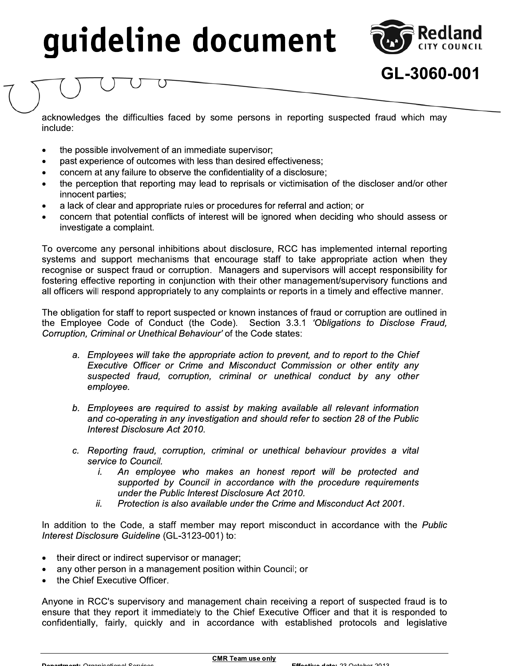# guideline documents:<br>
acknowledges the difficulties faced by some persons in reporting suspected fraud which may<br>
include:<br>
• the possible involvement of an immediate supervisor;<br>
• past experience of outcomes with less th



GL-3060-001

include: CONTROVERIGE THE MATH CONTROLL THE MATH CONTROLLED STATES (STATES) AND A CONTROLLED THE POSSIDE INVOLVED THE POSSIDE INTERNET OR THE PRESENT OF THE PRESENT OF THE PRESENT OF THE PRESENT OF THE PRESENT OF THE PRESENT OF THE CONTROVERIGE THE INTERNATION of the properties about disclosure, RCC has importing to overcome any personal inhibitions about disclosure,<br>
The possible involvement of an immediate supervisor;<br>
• the perception that reporti

- 
- 
- 
- concern at any failure to observe the confidentiality of a disclosure;<br>the perception that reporting may lead to reprisals or victimisation of the discloser and/or other
- 
- 

Concern at any filtriculties faced by some persons in reporting suspected fraud which may<br>
include:<br>
• the possible involvement of an immediate supervisor;<br>
• past experience of outcomes with less than desired effectivenes acknowledges the difficulties faced<br>
include:<br>
• the possible involvement of an in<br>
• past experience of outcomes wit<br>
• concern at any failure to observe<br>
• the perception that reporting ma<br>
innocent parties;<br>
• a lack of acknowleages the difficulties raced by some persons in reporting suspected<br>include:<br>
• the possible involvement of an immediate supervisor;<br>
• past experience of outcomes with less than desired effectiveness;<br>
• concern at include:<br>
• the possible involvement of an immediate supervisor;<br>
• past experience of outcomes with less than desired effectiveness;<br>
• concern at any failure to observe the confidentiality of a disclosure;<br>
• the percept • the possible involvement of an immediate<br>
• past experience of outcomes with less th<br>
• concern at any failure to observe the con<br>
• the perception that reporting may lead to<br>
innocent parties;<br>
• a lack of clear and app To overcome any personal inhibitions about disclosure, RCC has implemented internal reporting • past experience or outcomes with less than desired effectiveness;<br>
• concern at any failure to observe the confidentiality of a disclosure;<br>
• the perception that reporting may lead to reprisals or victimisation of the • concern at any tailure to observe the contidentiality of a disclosure;<br>
• the perception that reporting may lead to reprisals or victimisation of the discloser and/or other<br>
innocent parties;<br>
• a lack of clear and appro • the perception that reporting may lead to reprisals or victimisation of the discloser and/or other<br>
innocent participa:<br>
a lack of clear and appropriate rules or procedures for referral and action; or<br>
• concern that po innocent parties;<br>
• a lack of clear and appropriate rules or procedures for referral and action; or<br>
• concern that potential conflicts of interest will be ignored when deciding who should assess or<br>
• concern that potent ■ lack of clear and appropriate rules or procedures for referral and action; or<br>
• concern that potential conflicts of interest will be ignored when deciding who should assess or<br>
investigate a complaint.<br>
To overcome any investigate a complaint.<br>
To overcome any personal inhibitions about disclosure, RCC has implemented internal reporting<br>
systems and support mechanisms that encourage staff to take appropriate action when they<br>
recognise o To overcome any personal inhibitions about disclosure, RCC has implemented internal reporting<br>systems and support mechanisms that encourage staff to take appropriate action when they<br>recognise or suspect fraud or corruptio

The obligation for staff to report suspected or known instances of fraud or corruption are outlined in Corruption, Criminal or Unethical Behaviour' of the Code states:

- a. Employees will take the appropriate action to prevent, and to report to the Chief Executive Officer or Crime and Misconduct Commission or other entity any suspected fraud, corruption, criminal or unethical conduct by any other employee.
- $\mathbf{r}$ b. Employees are required to assist by making available all relevant information and co-operating in any investigation and should refer to section 28 of the Public Interest Disclosure Act 2010.
- $\mathbf{r}$ c. Reporting fraud, corruption, criminal or unethical behaviour provides a vital *Service to Council.*<br>*i.* An employ
- An employee who makes an honest report will be protected and supported by Council in accordance with the procedure requirements under the Public Interest Disclosure Act 2010. c. Reporting fraud, corruption, criminal or unethical behaviour provides a vital<br>service to Council.<br>
i. An employee who makes an honest report will be protected and<br>
supported by Council in accordance with the procedure r
	- ii. Protection is also available under the Crime and Misconduct Act 2001.

In addition to the Code, a staff member may report misconduct in accordance with the Public Interest Disclosure Guideline (GL-3123-001) to:

- 
- 
- the Chief Executive Officer.

i. An employee who makes an supported by Council in accord under the Public Interest Disclos ii. Protection is also available under the dualition to the Code, a staff member may relative that member is also available under supported by Council in accordance with the<br>
under the Public Interest Disclosure Act 2010.<br>
ii. Protection is also available under the Crime and<br>
In addition to the Code, a staff member may report misconduct<br>
Interest Dis Anyone in RCC's supervisory and management chain receiving a report of suspected fraud is to In addition to the Code, a staff member may report misconduct in accordance with the *Public*<br>
Interest Disclosure Guideline (GL-3123-001) to:<br>
• their direct or indirect supervisor or manager;<br>
• any other person in a man In addition to the Code, a staff member may report misconduct in accordance with the *Public*<br>
Interest Disclosure Guideline (GL-3123-001) to:<br>
• their direct or indirect supervisor or manager;<br>
• any other person in a ma Interest Disclosure Guideline (GL-3123-001) to:<br>
• their direct or indirect supervisor or manager;<br>
• any other person in a management position within Council; or<br>
• the Chief Executive Officer.<br>
Anyone in RCC's supervisor

 $\overline{\phantom{0}}$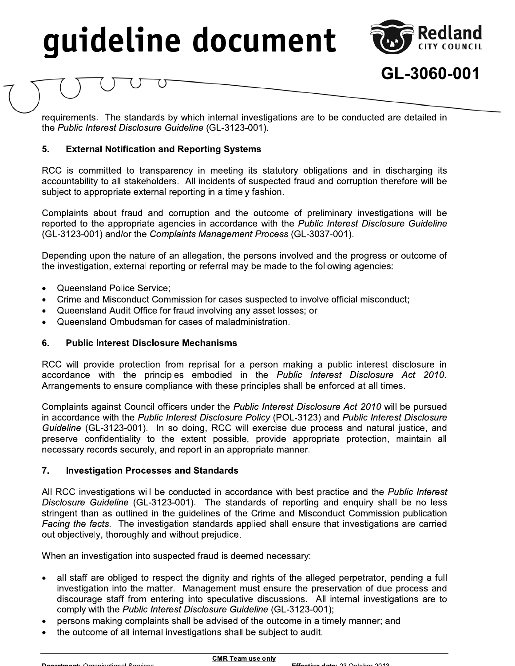

## GL-3060-001

the Public Interest Disclosure Guideline (GL-3123-001).

#### 5. **External Notification and Reporting Systems**

Guirements. The standards by which internal investigations are to be conducted are detailed in<br>requirements. The standards by which internal investigations are to be conducted are detailed in<br>the *Public Interest Disclosur*  $\mathbb{Z}^2$ RCC is committed to transparency in meeting its statutory obligations and in discharging its accountability to all stakeholders. All incidents of suspected fraud and corruption therefore will be subject to appropriate external reporting in a timely fashion. the *Public Interest Disclosure Guideline* (GL-3123-001).<br>
5. External Notification and Reporting Systems<br>
RCC is committed to transparency in meeting its statutory obligations and in discharging its<br>
accountability to all

Complaints about fraud and corruption and the outcome of preliminary investigations will be reported to the appropriate agencies in accordance with the Public Interest Disclosure Guideline (GL-3123-001) and/or the Complaints Management Process (GL-3037-001). RCC is committed to transparency in meeting its statutory obligations and in discharging its<br>accountability to all stakeholders. All incidents of suspected fraud and corruption therefore will be<br>subject to appropriate exte accountability to all stakeholders. All incidents of suspected fraud and corruption there<br>
subject to appropriate external reporting in a timely fashion.<br>
Complaints about fraud and corruption and the outcome of preliminar Complaints about fraud and corruption and the<br>reported to the appropriate agencies in accordar<br>(GL-3123-001) and/or the *Complaints Manageme*<br>Depending upon the nature of an allegation, the<br>the investigation, external repo

Depending upon the nature of an allegation, the persons involved and the progress or outcome of

- 
- 
- 
- Queensland Ombudsman for cases of maladministration.

#### 6. **Public Interest Disclosure Mechanisms**

Complaints about fraud and corruption and the outcome of preliminary investigations<br>reported to the appropriate agencies in accordance with the *Public Interest Disclosure GL*<br>(GL-3123-001) and/or the Complaints Management reported to the appropriate agencies in accordance with the *Public* (GL-3123-001) and/or the *Complaints Management Process* (GL-303<sup>-</sup><br>Depending upon the nature of an allegation, the persons involved an<br>the investigation RCC will provide protection from reprisal for a person making a public interest disclosure in accordance with the principles embodied in the Public Interest Disclosure Act 2010. Arrangements to ensure compliance with these principles shall be enforced at all times.

<ul>\n<li> Queensland Police Service;</li>\n<li>Prime and Misconduct Commission for cases suspected to involve official misconduct;</li>\n<li>Cime and Misconduct Commission for cases suspected to involve official misconduct;</li>\n<li>Queensland Ambudsman for cases of maladministration.</li>\n<li>Guenslandombudsman for cases of maladministration.</li>\n<li>Public Interest Disclosure in accordance with the principles embodied in the <i>Public Interest Disclosure Act 2010</i>. Arangements to ensure compliance with these principles shall be enforced at all times.</li>\n<li>Complaints against Council officers under the <i>Public Interest Disclosure Act 2010</i> will be pursued in accordance with the <i>Public Interest Disclosure Policy</i> (POL-3123) and <i>Public Interest Disclosure Guide line</i> (GL-3123  $\mathbf{r}$ Complaints against Council officers under the *Public Interest Disclosure Act 2010* will be pursued in accordance with the Public Interest Disclosure Policy (POL-3123) and Public Interest Disclosure Guideline (GL-3123-001). In so doing, RCC will exercise due process and natural justice, and preserve confidentiality to the extent possible, provide appropriate protection, maintain all RCC will provide protection from reprisal for a person making a public interest disclosure in<br>accordance with the principles embodied in the *Public Interest Disclosure Act 2010*.<br>Arrangements to ensure compliance with the necessary records securely, and report in an appropriate manner.

#### $7.$ **Investigation Processes and Standards**

All RCC investigations will be conducted in accordance with best practice and the Public Interest Complaints against Council officers under the *Public Interest Disclosure Act 2010* will be pursued in accordance with the *Public Interest Disclosure Policy* (POL-3123-001). In so doing, RCC will exercise due process and Disclosure Guideline (GL-3123-001). The standards of reporting and enquiry shall be no less stringent than as outlined in the guidelines of the Crime and Misconduct Commission publication<br>Facing the facts. The investigation standards applied shall ensure that investigations are carried preserve confidentiality to the extent possible, provide appropriate protection, maintain all<br>necessary records securely, and report in an appropriate manner.<br>
7. Investigation Processes and Standards<br>
All RCC investigatio necessary records securely, and report in an appro<br>
7. Investigation Processes and Standards<br>
All RCC investigations will be conducted in accord<br>
Disclosure Guideline (GL-3123-001). The standards<br>
stringent than as outline The investigation Processes and Standards<br>
All RCC investigations will be conducted in accordance with best provide and RCC investigations will be conducted in accordance with best provide and CHCL-3123-001). The standards

When an investigation into suspected fraud is deemed necessary:

- all staff are obliged to respect the dignity and rights of the alleged perpetrator, pending a full investigation into the matter. Management must ensure the preservation of due process and Disclosure Guideline (GL-3123-001). The standards of reporting and enquiry shall be no less<br>stringent than as outlined in the guidelines of the Crime and Misconduct Commission publication<br>Facing the facts. The investigati mgent than as outlined in the guidelines of the Crime and Misconduct Commission publication<br>
ing the facts. The investigation standards applied shall ensure that investigations are carried<br>
objectively, thoroughly and with comply with the *Public Interest Disclosure Guideline* (GL-3123-001);<br>persons making complaints shall be advised of the outcome in a timely manner; and out objectively, thoroughly and without prejudice.<br>
When an investigation into suspected fraud is deemed necessary:<br>
• all staff are obliged to respect the dignity and rights of the alleged perpetrator, pend<br>
investigation When an investigation into suspected fraud is deemed necessary:<br>
• all staff are obliged to respect the dignity and rights of the alleged<br>
investigation into the matter. Management must ensure the prese<br>
discourage staff f comply with the *Public Interest Disclosure Guideline* (GL-3123-001);<br>
• persons making complaints shall be advised of the outcome in a timely manner; are<br>
• the outcome of all internal investigations shall be subject to a
	-
	-

 $\overline{\phantom{0}}$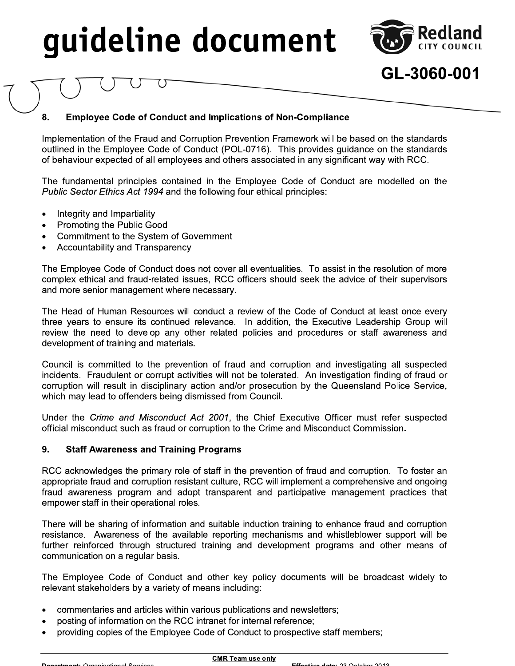

GL-3060-001

#### 8. **Employee Code of Conduct and Implications of Non-Compliance**

Implementation of the Fraud and Corruption Prevention Framework will be based on the standards outlined in the Employee Code of Conduct (POL-0716). This provides guidance on the standards of behaviour expected of all employees and others associated in any significant way with RCC.

The fundamental principles contained in the Employee Code of Conduct are modelled on the Public Sector Ethics Act 1994 and the following four ethical principles:

- Integrity and Impartiality
- Promoting the Public Good
- Commitment to the System of Government
- Accountability and Transparency

The Employee Code of Conduct does not cover all eventualities. To assist in the resolution of more complex ethical and fraud-related issues, RCC officers should seek the advice of their supervisors and more senior management where necessary.

The Head of Human Resources will conduct a review of the Code of Conduct at least once every three years to ensure its continued relevance. In addition, the Executive Leadership Group will review the need to develop any other related policies and procedures or staff awareness and development of training and materials.

Council is committed to the prevention of fraud and corruption and investigating all suspected incidents. Fraudulent or corrupt activities will not be tolerated. An investigation finding of fraud or corruption will result in disciplinary action and/or prosecution by the Queensland Police Service, which may lead to offenders being dismissed from Council.

Under the Crime and Misconduct Act 2001, the Chief Executive Officer must refer suspected official misconduct such as fraud or corruption to the Crime and Misconduct Commission.

#### 9. **Staff Awareness and Training Programs**

RCC acknowledges the primary role of staff in the prevention of fraud and corruption. To foster an appropriate fraud and corruption resistant culture, RCC will implement a comprehensive and ongoing fraud awareness program and adopt transparent and participative management practices that empower staff in their operational roles.

There will be sharing of information and suitable induction training to enhance fraud and corruption resistance. Awareness of the available reporting mechanisms and whistleblower support will be further reinforced through structured training and development programs and other means of communication on a regular basis.

The Employee Code of Conduct and other key policy documents will be broadcast widely to relevant stakeholders by a variety of means including:

- commentaries and articles within various publications and newsletters;
- posting of information on the RCC intranet for internal reference;
- providing copies of the Employee Code of Conduct to prospective staff members;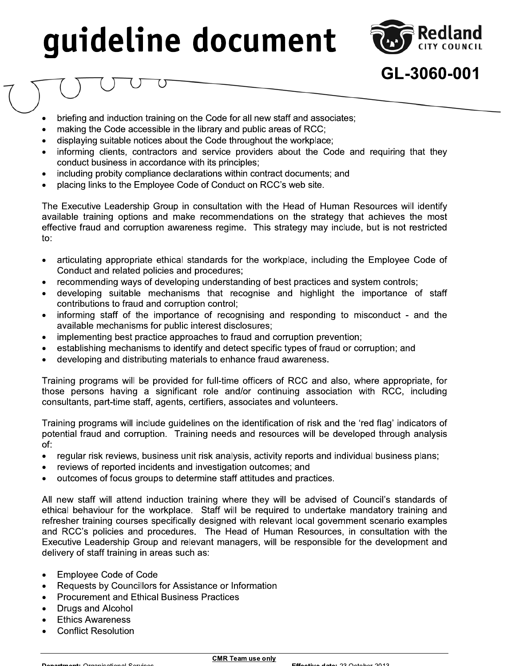

GL-3060-001

- briefing and induction training on the Code for all new staff and associates;
- making the Code accessible in the library and public areas of RCC;
- displaying suitable notices about the Code throughout the workplace;
- informing clients, contractors and service providers about the Code and requiring that they conduct business in accordance with its principles;
- including probity compliance declarations within contract documents; and
- placing links to the Employee Code of Conduct on RCC's web site.

The Executive Leadership Group in consultation with the Head of Human Resources will identify available training options and make recommendations on the strategy that achieves the most effective fraud and corruption awareness regime. This strategy may include, but is not restricted to:

- articulating appropriate ethical standards for the workplace, including the Employee Code of Conduct and related policies and procedures;
- recommending ways of developing understanding of best practices and system controls;
- developing suitable mechanisms that recognise and highlight the importance of staff contributions to fraud and corruption control;
- informing staff of the importance of recognising and responding to misconduct and the available mechanisms for public interest disclosures;
- implementing best practice approaches to fraud and corruption prevention;
- establishing mechanisms to identify and detect specific types of fraud or corruption; and
- developing and distributing materials to enhance fraud awareness.

Training programs will be provided for full-time officers of RCC and also, where appropriate, for those persons having a significant role and/or continuing association with RCC, including consultants, part-time staff, agents, certifiers, associates and volunteers.

Training programs will include guidelines on the identification of risk and the 'red flag' indicators of potential fraud and corruption. Training needs and resources will be developed through analysis of:

- regular risk reviews, business unit risk analysis, activity reports and individual business plans;  $\bullet$
- reviews of reported incidents and investigation outcomes; and
- outcomes of focus groups to determine staff attitudes and practices.

All new staff will attend induction training where they will be advised of Council's standards of ethical behaviour for the workplace. Staff will be required to undertake mandatory training and refresher training courses specifically designed with relevant local government scenario examples and RCC's policies and procedures. The Head of Human Resources, in consultation with the Executive Leadership Group and relevant managers, will be responsible for the development and delivery of staff training in areas such as:

- **Employee Code of Code**
- Requests by Councillors for Assistance or Information
- **Procurement and Ethical Business Practices**
- **Drugs and Alcohol**
- **Ethics Awareness**
- **Conflict Resolution**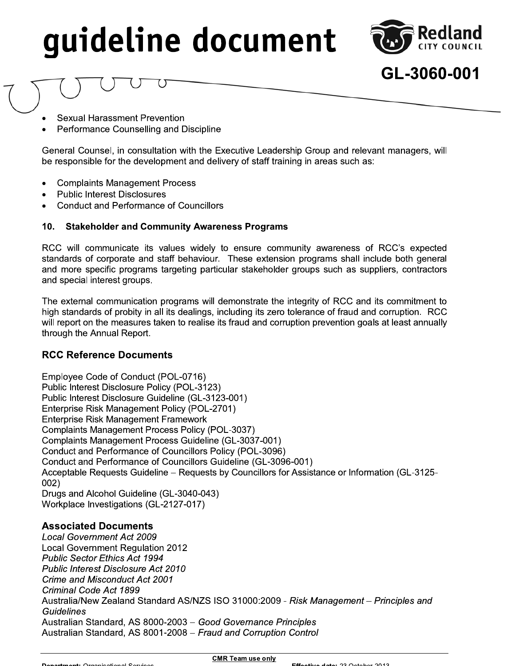

GL-3060-001

- **Sexual Harassment Prevention**
- Performance Counselling and Discipline

General Counsel, in consultation with the Executive Leadership Group and relevant managers, will be responsible for the development and delivery of staff training in areas such as:

- **Complaints Management Process**
- **Public Interest Disclosures**
- **Conduct and Performance of Councillors**

#### **Stakeholder and Community Awareness Programs**  $10<sub>1</sub>$

RCC will communicate its values widely to ensure community awareness of RCC's expected standards of corporate and staff behaviour. These extension programs shall include both general and more specific programs targeting particular stakeholder groups such as suppliers, contractors and special interest groups.

The external communication programs will demonstrate the integrity of RCC and its commitment to high standards of probity in all its dealings, including its zero tolerance of fraud and corruption. RCC will report on the measures taken to realise its fraud and corruption prevention goals at least annually through the Annual Report.

### **RCC Reference Documents**

Employee Code of Conduct (POL-0716) Public Interest Disclosure Policy (POL-3123) Public Interest Disclosure Guideline (GL-3123-001) Enterprise Risk Management Policy (POL-2701) **Enterprise Risk Management Framework** Complaints Management Process Policy (POL-3037) Complaints Management Process Guideline (GL-3037-001) Conduct and Performance of Councillors Policy (POL-3096) Conduct and Performance of Councillors Guideline (GL-3096-001) Acceptable Requests Guideline - Requests by Councillors for Assistance or Information (GL-3125- $002)$ Drugs and Alcohol Guideline (GL-3040-043) Workplace Investigations (GL-2127-017)

#### **Associated Documents**

**Local Government Act 2009 Local Government Requlation 2012 Public Sector Ethics Act 1994 Public Interest Disclosure Act 2010** Crime and Misconduct Act 2001 Criminal Code Act 1899 Australia/New Zealand Standard AS/NZS ISO 31000:2009 - Risk Management - Principles and **Guidelines** Australian Standard, AS 8000-2003 - Good Governance Principles Australian Standard, AS 8001-2008 - Fraud and Corruption Control